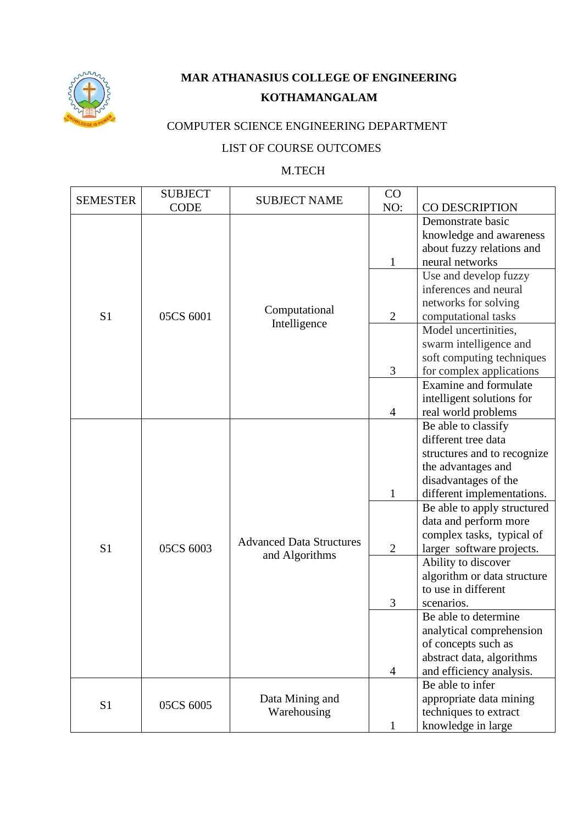

## **MAR ATHANASIUS COLLEGE OF ENGINEERING KOTHAMANGALAM**

## COMPUTER SCIENCE ENGINEERING DEPARTMENT

## LIST OF COURSE OUTCOMES

## M.TECH

| <b>SEMESTER</b> | <b>SUBJECT</b> | <b>SUBJECT NAME</b>                               | CO             |                             |
|-----------------|----------------|---------------------------------------------------|----------------|-----------------------------|
|                 | <b>CODE</b>    |                                                   | NO:            | <b>CO DESCRIPTION</b>       |
|                 |                |                                                   |                | Demonstrate basic           |
|                 |                |                                                   |                | knowledge and awareness     |
|                 |                |                                                   |                | about fuzzy relations and   |
|                 |                |                                                   | $\mathbf{1}$   | neural networks             |
|                 |                |                                                   |                | Use and develop fuzzy       |
|                 |                |                                                   |                | inferences and neural       |
|                 |                |                                                   |                | networks for solving        |
| S <sub>1</sub>  | 05CS 6001      | Computational<br>Intelligence                     | $\overline{2}$ | computational tasks         |
|                 |                |                                                   |                | Model uncertinities,        |
|                 |                |                                                   |                | swarm intelligence and      |
|                 |                |                                                   |                | soft computing techniques   |
|                 |                |                                                   | 3              | for complex applications    |
|                 |                |                                                   |                | Examine and formulate       |
|                 |                |                                                   |                | intelligent solutions for   |
|                 |                |                                                   | $\overline{4}$ | real world problems         |
|                 |                |                                                   |                | Be able to classify         |
|                 |                |                                                   |                | different tree data         |
|                 |                |                                                   |                | structures and to recognize |
|                 |                |                                                   |                | the advantages and          |
|                 |                |                                                   |                | disadvantages of the        |
|                 |                |                                                   | $\mathbf{1}$   | different implementations.  |
|                 |                |                                                   |                | Be able to apply structured |
|                 | 05CS 6003      | <b>Advanced Data Structures</b><br>and Algorithms |                | data and perform more       |
|                 |                |                                                   |                | complex tasks, typical of   |
| S <sub>1</sub>  |                |                                                   | $\overline{2}$ | larger_software projects.   |
|                 |                |                                                   |                | Ability to discover         |
|                 |                |                                                   |                | algorithm or data structure |
|                 |                |                                                   |                | to use in different         |
| S1              |                |                                                   | 3              | scenarios.                  |
|                 |                |                                                   |                | Be able to determine        |
|                 |                |                                                   |                | analytical comprehension    |
|                 |                |                                                   |                | of concepts such as         |
|                 |                |                                                   |                | abstract data, algorithms   |
|                 |                |                                                   | 4              | and efficiency analysis.    |
|                 | 05CS 6005      | Data Mining and<br>Warehousing                    |                | Be able to infer            |
|                 |                |                                                   |                | appropriate data mining     |
|                 |                |                                                   |                | techniques to extract       |
|                 |                |                                                   | $\mathbf{1}$   | knowledge in large          |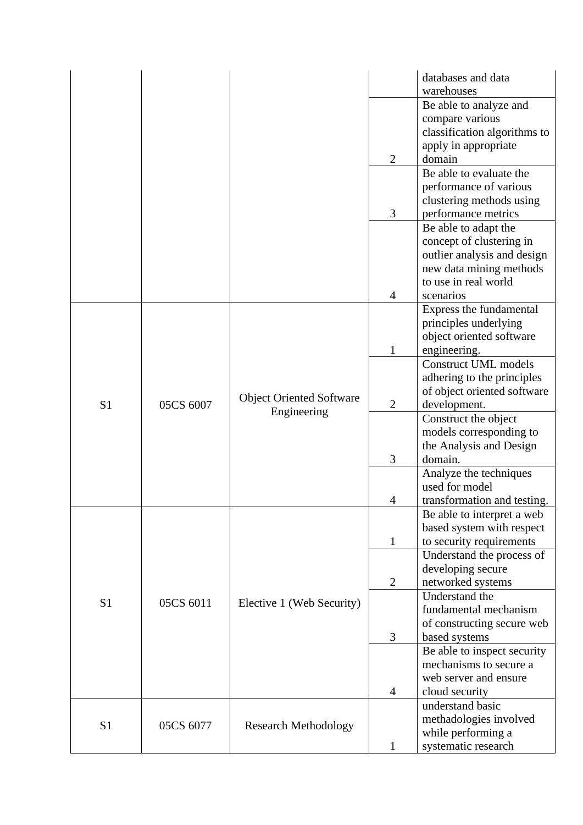|                |           |                                 |                | databases and data           |
|----------------|-----------|---------------------------------|----------------|------------------------------|
|                |           |                                 |                | warehouses                   |
|                |           |                                 |                | Be able to analyze and       |
|                |           |                                 |                | compare various              |
|                |           |                                 |                | classification algorithms to |
|                |           |                                 |                | apply in appropriate         |
|                |           |                                 | $\overline{2}$ | domain                       |
|                |           |                                 |                | Be able to evaluate the      |
|                |           |                                 |                | performance of various       |
|                |           |                                 |                | clustering methods using     |
|                |           |                                 | 3              | performance metrics          |
|                |           |                                 |                | Be able to adapt the         |
|                |           |                                 |                | concept of clustering in     |
|                |           |                                 |                | outlier analysis and design  |
|                |           |                                 |                | new data mining methods      |
|                |           |                                 |                | to use in real world         |
|                |           |                                 | 4              | scenarios                    |
|                |           |                                 |                | Express the fundamental      |
|                |           |                                 |                | principles underlying        |
|                |           |                                 |                | object oriented software     |
|                |           |                                 | 1              | engineering.                 |
|                |           |                                 |                | <b>Construct UML models</b>  |
|                |           |                                 |                | adhering to the principles   |
|                |           |                                 |                | of object oriented software  |
| S <sub>1</sub> | 05CS 6007 | <b>Object Oriented Software</b> | $\overline{2}$ | development.                 |
|                |           | Engineering                     |                | Construct the object         |
|                |           |                                 |                | models corresponding to      |
|                |           |                                 |                | the Analysis and Design      |
|                |           |                                 | 3              | domain.                      |
|                |           |                                 |                | Analyze the techniques       |
|                |           |                                 |                | used for model               |
|                |           |                                 | 4              | transformation and testing.  |
|                |           |                                 |                | Be able to interpret a web   |
|                |           |                                 |                | based system with respect    |
|                |           |                                 | $\mathbf{1}$   | to security requirements     |
|                |           |                                 |                | Understand the process of    |
|                |           |                                 |                | developing secure            |
|                |           |                                 | $\overline{2}$ | networked systems            |
| S <sub>1</sub> | 05CS 6011 | Elective 1 (Web Security)       |                | Understand the               |
|                |           |                                 |                | fundamental mechanism        |
|                |           |                                 |                | of constructing secure web   |
|                |           |                                 | 3              | based systems                |
|                |           |                                 |                | Be able to inspect security  |
|                |           |                                 |                | mechanisms to secure a       |
|                |           |                                 |                | web server and ensure        |
|                |           |                                 | $\overline{4}$ | cloud security               |
|                |           | <b>Research Methodology</b>     |                | understand basic             |
| S <sub>1</sub> | 05CS 6077 |                                 |                | methadologies involved       |
|                |           |                                 |                | while performing a           |
|                |           |                                 | L              | systematic research          |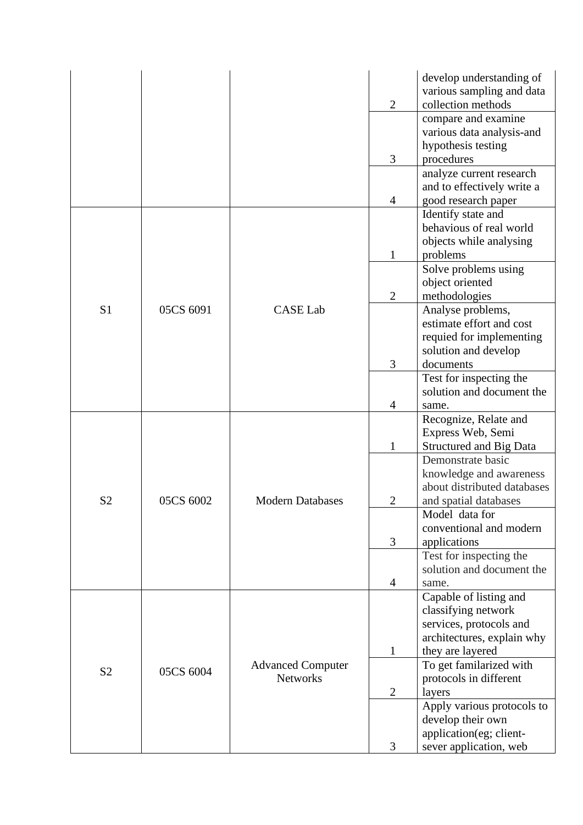|                |           |                                             |                | develop understanding of                               |
|----------------|-----------|---------------------------------------------|----------------|--------------------------------------------------------|
|                |           |                                             |                | various sampling and data                              |
|                |           |                                             | $\overline{2}$ | collection methods                                     |
|                |           |                                             |                | compare and examine                                    |
|                |           |                                             |                | various data analysis-and                              |
|                |           |                                             | 3              | hypothesis testing<br>procedures                       |
|                |           |                                             |                | analyze current research                               |
|                |           |                                             |                | and to effectively write a                             |
|                |           |                                             | 4              | good research paper                                    |
|                |           |                                             |                | Identify state and                                     |
|                |           |                                             |                | behavious of real world                                |
|                |           |                                             |                | objects while analysing                                |
|                |           |                                             | 1              | problems                                               |
|                |           |                                             |                | Solve problems using                                   |
|                |           |                                             |                | object oriented                                        |
|                |           |                                             | $\overline{2}$ | methodologies                                          |
| S <sub>1</sub> | 05CS 6091 | <b>CASE Lab</b>                             |                | Analyse problems,                                      |
|                |           |                                             |                | estimate effort and cost                               |
|                |           |                                             |                | requied for implementing                               |
|                |           |                                             |                | solution and develop                                   |
|                |           |                                             | 3              | documents                                              |
|                |           |                                             |                | Test for inspecting the                                |
|                |           |                                             |                | solution and document the                              |
|                |           |                                             | 4              | same.                                                  |
|                | 05CS 6002 |                                             |                | Recognize, Relate and                                  |
|                |           |                                             |                | Express Web, Semi                                      |
|                |           |                                             | $\mathbf{1}$   | <b>Structured and Big Data</b>                         |
|                |           |                                             |                | Demonstrate basic                                      |
|                |           |                                             |                | knowledge and awareness<br>about distributed databases |
| S <sub>2</sub> |           | <b>Modern Databases</b>                     | $\overline{2}$ | and spatial databases                                  |
|                |           |                                             |                | Model data for                                         |
|                |           |                                             |                | conventional and modern                                |
|                |           |                                             | 3              | applications                                           |
|                |           |                                             |                | Test for inspecting the                                |
|                |           |                                             |                | solution and document the                              |
|                |           |                                             | 4              | same.                                                  |
|                |           |                                             |                | Capable of listing and                                 |
| S <sub>2</sub> |           |                                             |                | classifying network                                    |
|                |           |                                             |                | services, protocols and                                |
|                |           |                                             |                | architectures, explain why                             |
|                | 05CS 6004 |                                             | $\mathbf{1}$   | they are layered                                       |
|                |           | <b>Advanced Computer</b><br><b>Networks</b> |                | To get familarized with                                |
|                |           |                                             |                | protocols in different                                 |
|                |           |                                             | $\mathbf{2}$   | layers                                                 |
|                |           |                                             |                | Apply various protocols to                             |
|                |           |                                             |                | develop their own                                      |
|                |           |                                             |                | application(eg; client-                                |
|                |           |                                             | 3              | sever application, web                                 |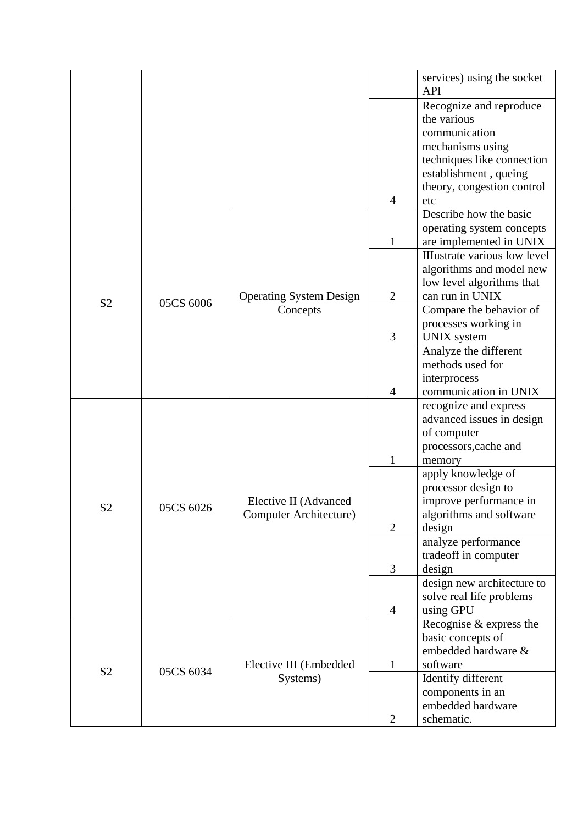|                |           |                                                 |                | services) using the socket<br><b>API</b>            |
|----------------|-----------|-------------------------------------------------|----------------|-----------------------------------------------------|
|                |           |                                                 |                | Recognize and reproduce                             |
|                |           |                                                 |                | the various                                         |
|                |           |                                                 |                | communication                                       |
|                |           |                                                 |                | mechanisms using                                    |
|                |           |                                                 |                | techniques like connection                          |
|                |           |                                                 |                | establishment, queing<br>theory, congestion control |
|                |           |                                                 | 4              | etc                                                 |
|                |           |                                                 |                | Describe how the basic                              |
|                |           |                                                 |                | operating system concepts                           |
|                |           |                                                 | $\mathbf{1}$   | are implemented in UNIX                             |
|                |           |                                                 |                | <b>IIIustrate various low level</b>                 |
|                |           |                                                 |                | algorithms and model new                            |
|                |           |                                                 |                | low level algorithms that                           |
| S <sub>2</sub> | 05CS 6006 | <b>Operating System Design</b>                  | $\overline{2}$ | can run in UNIX                                     |
|                |           | Concepts                                        |                | Compare the behavior of                             |
|                |           |                                                 |                | processes working in                                |
|                |           |                                                 | 3              | <b>UNIX</b> system                                  |
|                |           |                                                 |                | Analyze the different<br>methods used for           |
|                |           |                                                 |                | interprocess                                        |
|                |           |                                                 | $\overline{4}$ | communication in UNIX                               |
|                |           |                                                 |                | recognize and express                               |
|                |           | Elective II (Advanced<br>Computer Architecture) |                | advanced issues in design                           |
|                |           |                                                 |                | of computer                                         |
|                | 05CS 6026 |                                                 |                | processors, cache and                               |
|                |           |                                                 | $\mathbf{1}$   | memory                                              |
|                |           |                                                 |                | apply knowledge of                                  |
|                |           |                                                 |                | processor design to                                 |
| S <sub>2</sub> |           |                                                 |                | improve performance in                              |
|                |           |                                                 | $\overline{2}$ | algorithms and software<br>design                   |
|                |           |                                                 |                | analyze performance                                 |
|                |           |                                                 |                | tradeoff in computer                                |
|                |           |                                                 | 3              | design                                              |
|                |           |                                                 |                | design new architecture to                          |
|                |           |                                                 |                | solve real life problems                            |
|                |           |                                                 | $\overline{4}$ | using GPU                                           |
| S <sub>2</sub> |           |                                                 |                | Recognise & express the                             |
|                | 05CS 6034 |                                                 |                | basic concepts of                                   |
|                |           | Elective III (Embedded<br>Systems)              |                | embedded hardware &                                 |
|                |           |                                                 | $\mathbf{1}$   | software                                            |
|                |           |                                                 |                | Identify different                                  |
|                |           |                                                 |                | components in an<br>embedded hardware               |
|                |           |                                                 | $\overline{2}$ | schematic.                                          |
|                |           |                                                 |                |                                                     |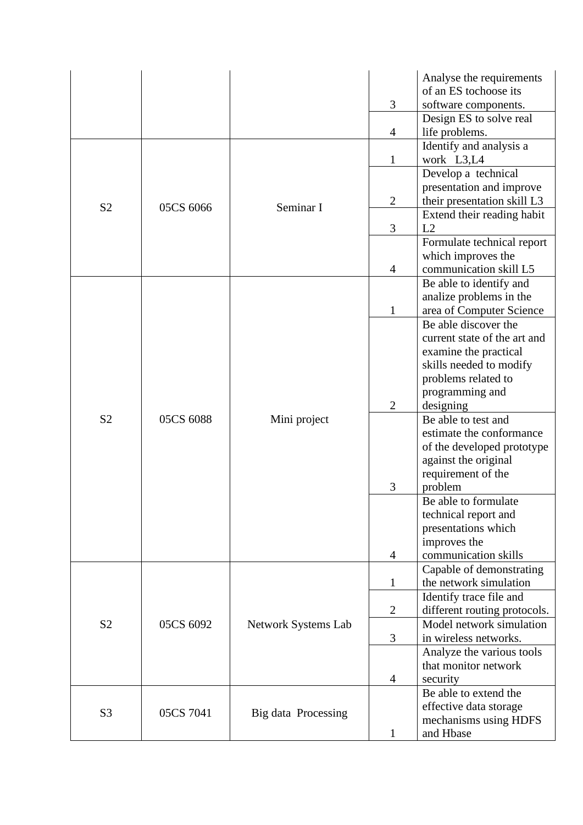|                |                        |                     |                | Analyse the requirements     |
|----------------|------------------------|---------------------|----------------|------------------------------|
|                |                        |                     |                | of an ES tochoose its        |
|                |                        |                     | 3              | software components.         |
|                |                        |                     |                | Design ES to solve real      |
|                |                        |                     | $\overline{4}$ | life problems.               |
|                |                        |                     |                | Identify and analysis a      |
|                |                        |                     | $\mathbf{1}$   | work L3,L4                   |
|                |                        |                     |                | Develop a technical          |
|                |                        |                     |                | presentation and improve     |
| S <sub>2</sub> | 05CS 6066              | Seminar I           | $\overline{2}$ | their presentation skill L3  |
|                |                        |                     |                | Extend their reading habit   |
|                |                        |                     | 3              | L2                           |
|                |                        |                     |                | Formulate technical report   |
|                |                        |                     |                | which improves the           |
|                |                        |                     | $\overline{4}$ | communication skill L5       |
|                |                        |                     |                | Be able to identify and      |
|                |                        |                     |                | analize problems in the      |
|                |                        |                     | 1              | area of Computer Science     |
|                |                        |                     |                | Be able discover the         |
|                |                        |                     |                | current state of the art and |
|                |                        |                     |                | examine the practical        |
|                |                        |                     |                | skills needed to modify      |
|                |                        |                     |                | problems related to          |
|                |                        |                     |                | programming and              |
|                | 05CS 6088              |                     | $\overline{2}$ | designing                    |
| S <sub>2</sub> |                        | Mini project        |                | Be able to test and          |
|                |                        |                     |                | estimate the conformance     |
|                |                        |                     |                | of the developed prototype   |
|                |                        |                     |                | against the original         |
|                |                        |                     |                | requirement of the           |
|                |                        |                     | 3              | problem                      |
|                |                        |                     |                | Be able to formulate         |
|                |                        |                     |                | technical report and         |
|                |                        |                     |                | presentations which          |
|                |                        |                     |                | improves the                 |
|                |                        |                     | 4              | communication skills         |
|                |                        |                     |                | Capable of demonstrating     |
|                |                        |                     | 1              | the network simulation       |
|                |                        |                     |                | Identify trace file and      |
| S <sub>2</sub> |                        |                     | $\overline{2}$ | different routing protocols. |
|                | 05CS 6092<br>05CS 7041 | Network Systems Lab |                | Model network simulation     |
|                |                        |                     | 3              | in wireless networks.        |
|                |                        |                     |                | Analyze the various tools    |
|                |                        | Big data Processing |                | that monitor network         |
|                |                        |                     | 4              | security                     |
|                |                        |                     |                | Be able to extend the        |
| S <sub>3</sub> |                        |                     |                | effective data storage       |
|                |                        |                     |                | mechanisms using HDFS        |
|                |                        |                     | 1              | and Hbase                    |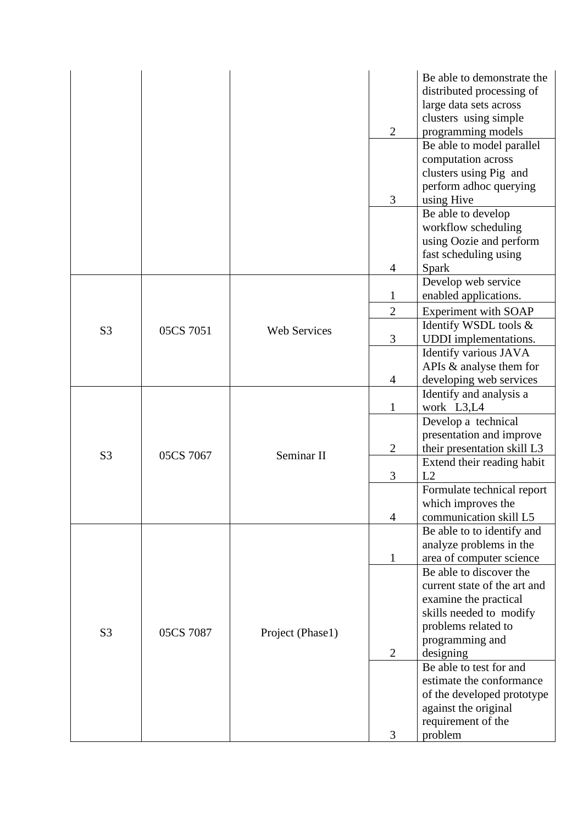|                |           |                     |                | Be able to demonstrate the                          |
|----------------|-----------|---------------------|----------------|-----------------------------------------------------|
|                |           |                     |                | distributed processing of                           |
|                |           |                     |                | large data sets across                              |
|                |           |                     |                | clusters using simple                               |
|                |           |                     | $\overline{2}$ | programming models                                  |
|                |           |                     |                | Be able to model parallel                           |
|                |           |                     |                | computation across                                  |
|                |           |                     |                | clusters using Pig and                              |
|                |           |                     |                | perform adhoc querying                              |
|                |           |                     | 3              | using Hive<br>Be able to develop                    |
|                |           |                     |                | workflow scheduling                                 |
|                |           |                     |                | using Oozie and perform                             |
|                |           |                     |                | fast scheduling using                               |
|                |           |                     | $\overline{4}$ | Spark                                               |
|                |           |                     |                | Develop web service                                 |
|                |           |                     | $\mathbf{1}$   | enabled applications.                               |
|                |           |                     | $\overline{2}$ | Experiment with SOAP                                |
|                |           |                     |                | Identify WSDL tools &                               |
| S <sub>3</sub> | 05CS 7051 | <b>Web Services</b> | 3              | <b>UDDI</b> implementations.                        |
|                |           |                     |                | Identify various JAVA                               |
|                |           |                     |                | APIs & analyse them for                             |
|                |           |                     | $\overline{4}$ | developing web services                             |
|                | 05CS 7067 |                     |                | Identify and analysis a                             |
|                |           |                     | 1              | work L3,L4                                          |
|                |           |                     |                | Develop a technical                                 |
|                |           |                     |                | presentation and improve                            |
| S <sub>3</sub> |           | Seminar II          | $\overline{2}$ | their presentation skill L3                         |
|                |           |                     |                | Extend their reading habit                          |
|                |           |                     | 3              | L2                                                  |
|                |           |                     |                | Formulate technical report                          |
|                |           |                     |                | which improves the                                  |
|                |           |                     | 4              | communication skill L5                              |
|                |           |                     |                | Be able to to identify and                          |
|                |           |                     |                | analyze problems in the                             |
|                |           |                     | $\mathbf 1$    | area of computer science<br>Be able to discover the |
|                |           |                     |                | current state of the art and                        |
|                |           |                     |                |                                                     |
| S <sub>3</sub> |           |                     |                | examine the practical<br>skills needed to modify    |
|                |           |                     |                | problems related to                                 |
|                | 05CS 7087 | Project (Phase1)    |                | programming and                                     |
|                |           |                     | $\overline{2}$ | designing                                           |
|                |           |                     |                | Be able to test for and                             |
|                |           |                     |                | estimate the conformance                            |
|                |           |                     |                | of the developed prototype                          |
|                |           |                     |                | against the original                                |
|                |           |                     |                | requirement of the                                  |
|                |           |                     | 3              | problem                                             |